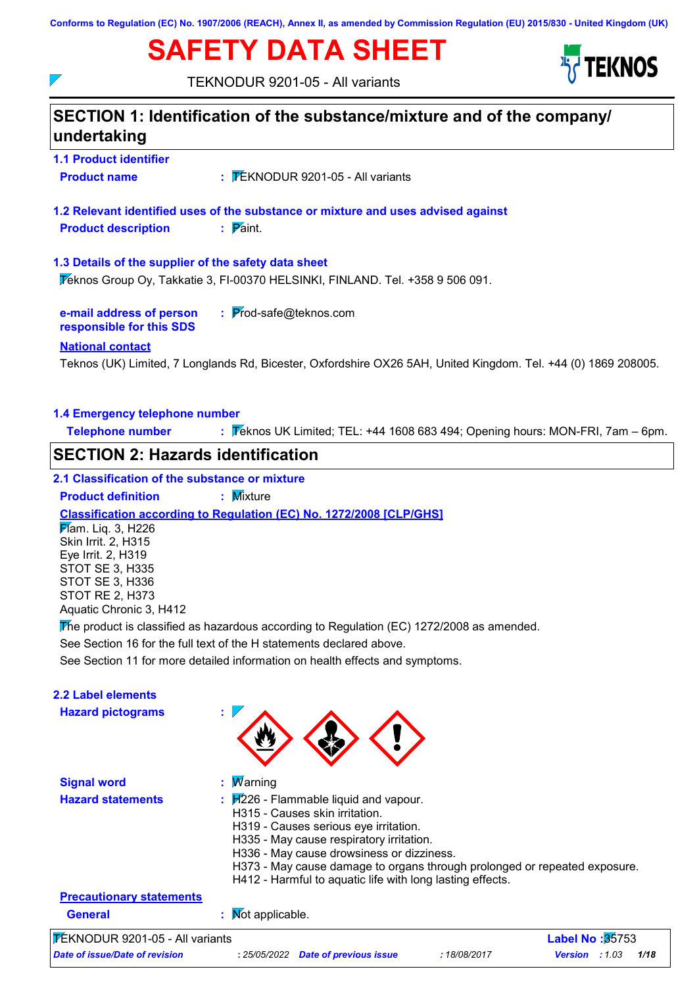**Conforms to Regulation (EC) No. 1907/2006 (REACH), Annex II, as amended by Commission Regulation (EU) 2015/830 - United Kingdom (UK)**

# **SAFETY DATA SHEET**



TEKNODUR 9201-05 - All variants

 $\nabla$ 

| <b>1.1 Product identifier</b><br><b>Product name</b>                                                                                                             |                                                                                                                                                                                                                                                                                                                                                                                                    |
|------------------------------------------------------------------------------------------------------------------------------------------------------------------|----------------------------------------------------------------------------------------------------------------------------------------------------------------------------------------------------------------------------------------------------------------------------------------------------------------------------------------------------------------------------------------------------|
|                                                                                                                                                                  | $\frac{1}{2}$ TEKNODUR 9201-05 - All variants                                                                                                                                                                                                                                                                                                                                                      |
|                                                                                                                                                                  | 1.2 Relevant identified uses of the substance or mixture and uses advised against                                                                                                                                                                                                                                                                                                                  |
| <b>Product description</b>                                                                                                                                       | $\mathbf{P}$ aint.                                                                                                                                                                                                                                                                                                                                                                                 |
| 1.3 Details of the supplier of the safety data sheet                                                                                                             | Teknos Group Oy, Takkatie 3, FI-00370 HELSINKI, FINLAND. Tel. +358 9 506 091.                                                                                                                                                                                                                                                                                                                      |
| e-mail address of person<br>responsible for this SDS                                                                                                             | $:$ Prod-safe@teknos.com                                                                                                                                                                                                                                                                                                                                                                           |
| <b>National contact</b>                                                                                                                                          | Teknos (UK) Limited, 7 Longlands Rd, Bicester, Oxfordshire OX26 5AH, United Kingdom. Tel. +44 (0) 1869 208005.                                                                                                                                                                                                                                                                                     |
| 1.4 Emergency telephone number                                                                                                                                   |                                                                                                                                                                                                                                                                                                                                                                                                    |
| <b>Telephone number</b>                                                                                                                                          | : Teknos UK Limited; TEL: +44 1608 683 494; Opening hours: MON-FRI, 7am - 6pm.                                                                                                                                                                                                                                                                                                                     |
| <b>SECTION 2: Hazards identification</b>                                                                                                                         |                                                                                                                                                                                                                                                                                                                                                                                                    |
| 2.1 Classification of the substance or mixture                                                                                                                   |                                                                                                                                                                                                                                                                                                                                                                                                    |
| <b>Product definition</b>                                                                                                                                        | : Mixture                                                                                                                                                                                                                                                                                                                                                                                          |
| Mam. Liq. 3, H226<br>Skin Irrit. 2, H315<br>Eye Irrit. 2, H319<br><b>STOT SE 3, H335</b><br><b>STOT SE 3, H336</b><br>STOT RE 2, H373<br>Aquatic Chronic 3, H412 | Classification according to Regulation (EC) No. 1272/2008 [CLP/GHS]<br>The product is classified as hazardous according to Regulation (EC) 1272/2008 as amended.<br>See Section 16 for the full text of the H statements declared above.<br>See Section 11 for more detailed information on health effects and symptoms.                                                                           |
|                                                                                                                                                                  |                                                                                                                                                                                                                                                                                                                                                                                                    |
|                                                                                                                                                                  |                                                                                                                                                                                                                                                                                                                                                                                                    |
| <b>Hazard pictograms</b>                                                                                                                                         |                                                                                                                                                                                                                                                                                                                                                                                                    |
| <b>Signal word</b>                                                                                                                                               | Warning                                                                                                                                                                                                                                                                                                                                                                                            |
| <b>Hazard statements</b>                                                                                                                                         | $\frac{1}{2}$ $\frac{1}{2}$ $\frac{1}{2}$ $\frac{1}{2}$ Flammable liquid and vapour.<br>H315 - Causes skin irritation.<br>H319 - Causes serious eye irritation.<br>H335 - May cause respiratory irritation.<br>H336 - May cause drowsiness or dizziness.<br>H373 - May cause damage to organs through prolonged or repeated exposure.<br>H412 - Harmful to aquatic life with long lasting effects. |
| 2.2 Label elements<br><b>Precautionary statements</b>                                                                                                            |                                                                                                                                                                                                                                                                                                                                                                                                    |

*Date of issue/Date of revision* **:** *25/05/2022 Date of previous issue : 18/08/2017 Version : 1.03 1/18*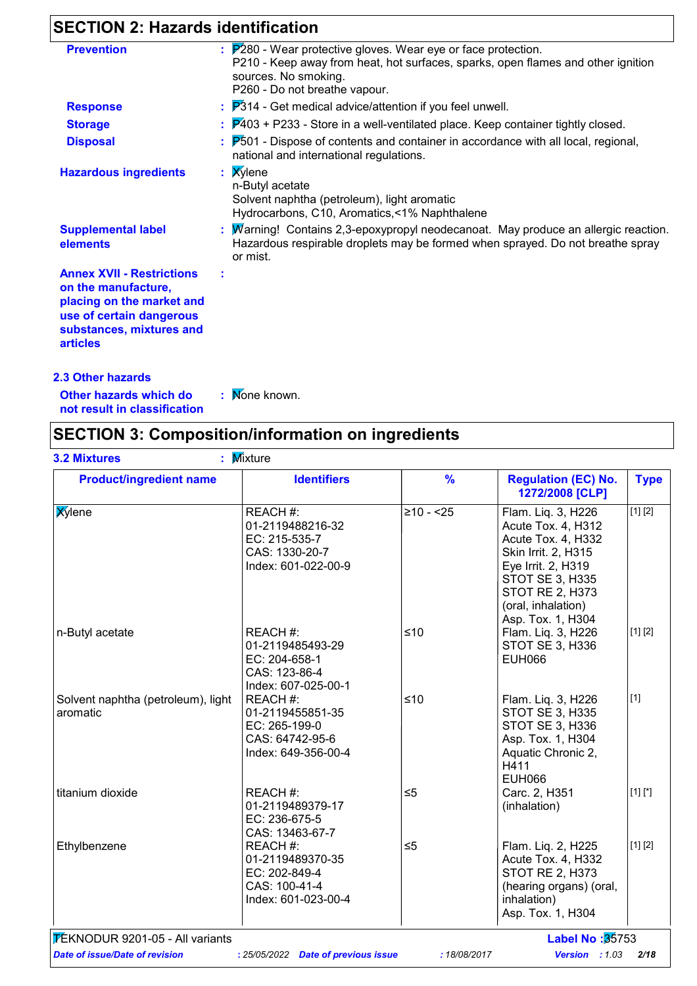# **SECTION 2: Hazards identification**

| <b>Prevention</b>                                                                                                                                               | $\therefore$ $\mathbb{P}280$ - Wear protective gloves. Wear eye or face protection.<br>P210 - Keep away from heat, hot surfaces, sparks, open flames and other ignition<br>sources. No smoking.<br>P260 - Do not breathe vapour. |
|-----------------------------------------------------------------------------------------------------------------------------------------------------------------|----------------------------------------------------------------------------------------------------------------------------------------------------------------------------------------------------------------------------------|
| <b>Response</b>                                                                                                                                                 | $\therefore$ $\mathbb{P}314$ - Get medical advice/attention if you feel unwell.                                                                                                                                                  |
| <b>Storage</b>                                                                                                                                                  | $\frac{1}{2}$ $\mathbb{P}$ 403 + P233 - Store in a well-ventilated place. Keep container tightly closed.                                                                                                                         |
| <b>Disposal</b>                                                                                                                                                 | <b>P501</b> - Dispose of contents and container in accordance with all local, regional,<br>national and international regulations.                                                                                               |
| <b>Hazardous ingredients</b>                                                                                                                                    | : Xylene<br>n-Butyl acetate<br>Solvent naphtha (petroleum), light aromatic<br>Hydrocarbons, C10, Aromatics, <1% Naphthalene                                                                                                      |
| <b>Supplemental label</b><br>elements                                                                                                                           | : $M$ arning! Contains 2,3-epoxypropyl neodecanoat. May produce an allergic reaction.<br>Hazardous respirable droplets may be formed when sprayed. Do not breathe spray<br>or mist.                                              |
| <b>Annex XVII - Restrictions</b><br>on the manufacture,<br>placing on the market and<br>use of certain dangerous<br>substances, mixtures and<br><b>articles</b> |                                                                                                                                                                                                                                  |
| <b>2.3 Other hazards</b>                                                                                                                                        |                                                                                                                                                                                                                                  |

**Other hazards which do : not result in classification**

: Mone known.

### **SECTION 3: Composition/information on ingredients**

| <b>Product/ingredient name</b>                 | <b>Identifiers</b>                                                                      | $\frac{9}{6}$ | <b>Regulation (EC) No.</b><br>1272/2008 [CLP]                                                                                                                                                              | <b>Type</b> |
|------------------------------------------------|-----------------------------------------------------------------------------------------|---------------|------------------------------------------------------------------------------------------------------------------------------------------------------------------------------------------------------------|-------------|
| <b>X</b> ylene                                 | REACH #:<br>01-2119488216-32<br>EC: 215-535-7<br>CAS: 1330-20-7<br>Index: 601-022-00-9  | $≥10 - 25$    | Flam. Liq. 3, H226<br>Acute Tox. 4, H312<br>Acute Tox. 4, H332<br>Skin Irrit. 2, H315<br>Eye Irrit. 2, H319<br><b>STOT SE 3, H335</b><br><b>STOT RE 2, H373</b><br>(oral, inhalation)<br>Asp. Tox. 1, H304 | [1] [2]     |
| n-Butyl acetate                                | REACH #:<br>01-2119485493-29<br>EC: 204-658-1<br>CAS: 123-86-4<br>Index: 607-025-00-1   | $≤10$         | Flam. Liq. 3, H226<br>STOT SE 3, H336<br><b>EUH066</b>                                                                                                                                                     | [1] [2]     |
| Solvent naphtha (petroleum), light<br>aromatic | REACH #:<br>01-2119455851-35<br>EC: 265-199-0<br>CAS: 64742-95-6<br>Index: 649-356-00-4 | $≤10$         | Flam. Liq. 3, H226<br><b>STOT SE 3, H335</b><br><b>STOT SE 3, H336</b><br>Asp. Tox. 1, H304<br>Aquatic Chronic 2,<br>H411<br><b>EUH066</b>                                                                 | $[1]$       |
| titanium dioxide                               | REACH #:<br>01-2119489379-17<br>EC: 236-675-5<br>CAS: 13463-67-7                        | $\leq 5$      | Carc. 2, H351<br>(inhalation)                                                                                                                                                                              | $[1] [^*]$  |
| Ethylbenzene                                   | REACH #:<br>01-2119489370-35<br>EC: 202-849-4<br>CAS: 100-41-4<br>Index: 601-023-00-4   | $\leq 5$      | Flam. Liq. 2, H225<br>Acute Tox. 4, H332<br><b>STOT RE 2, H373</b><br>(hearing organs) (oral,<br>inhalation)<br>Asp. Tox. 1, H304                                                                          | [1] [2]     |
| <b>TEKNODUR 9201-05 - All variants</b>         |                                                                                         |               | Label No: 35753                                                                                                                                                                                            |             |
| <b>Date of issue/Date of revision</b>          | : 25/05/2022 Date of previous issue                                                     | :18/08/2017   | Version : 1.03                                                                                                                                                                                             | 2/18        |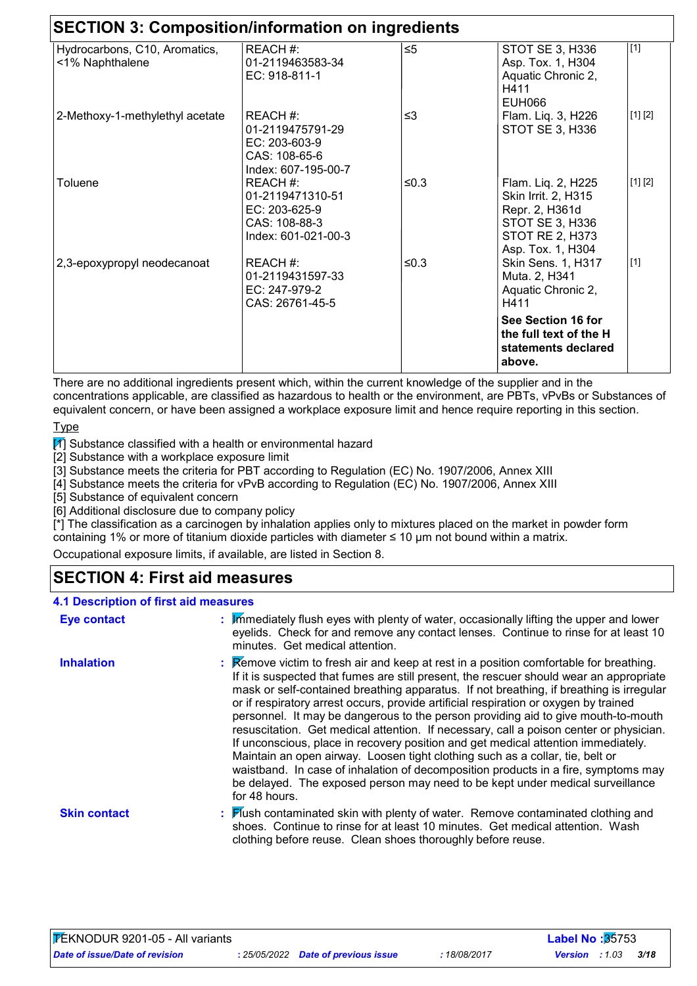| <b>SECTION 3: Composition/information on ingredients</b> |                                                                                       |          |                                                                                                                               |         |
|----------------------------------------------------------|---------------------------------------------------------------------------------------|----------|-------------------------------------------------------------------------------------------------------------------------------|---------|
| Hydrocarbons, C10, Aromatics,<br><1% Naphthalene         | REACH #:<br>01-2119463583-34<br>EC: 918-811-1                                         | $\leq 5$ | STOT SE 3, H336<br>Asp. Tox. 1, H304<br>Aquatic Chronic 2,<br>H411<br>EUH066                                                  | $[1]$   |
| 2-Methoxy-1-methylethyl acetate                          | REACH #:<br>01-2119475791-29<br>EC: 203-603-9<br>CAS: 108-65-6<br>Index: 607-195-00-7 | ≤3       | Flam. Liq. 3, H226<br>STOT SE 3, H336                                                                                         | [1] [2] |
| Toluene                                                  | REACH #:<br>01-2119471310-51<br>EC: 203-625-9<br>CAS: 108-88-3<br>Index: 601-021-00-3 | $≤0.3$   | Flam. Liq. 2, H225<br>Skin Irrit. 2, H315<br>Repr. 2, H361d<br>STOT SE 3, H336<br><b>STOT RE 2, H373</b><br>Asp. Tox. 1, H304 | [1] [2] |
| 2,3-epoxypropyl neodecanoat                              | REACH #:<br>01-2119431597-33<br>EC: 247-979-2<br>CAS: 26761-45-5                      | $≤0.3$   | <b>Skin Sens. 1, H317</b><br>Muta. 2, H341<br>Aquatic Chronic 2,<br>H411                                                      | $[1]$   |
|                                                          |                                                                                       |          | See Section 16 for<br>the full text of the H<br>statements declared<br>above.                                                 |         |

There are no additional ingredients present which, within the current knowledge of the supplier and in the concentrations applicable, are classified as hazardous to health or the environment, are PBTs, vPvBs or Substances of equivalent concern, or have been assigned a workplace exposure limit and hence require reporting in this section.

**Type** 

 $\boxed{1}$  Substance classified with a health or environmental hazard

[2] Substance with a workplace exposure limit

[3] Substance meets the criteria for PBT according to Regulation (EC) No. 1907/2006, Annex XIII

[4] Substance meets the criteria for vPvB according to Regulation (EC) No. 1907/2006, Annex XIII

[5] Substance of equivalent concern

 $\overline{60}$  Additional disclosure due to company policy

 $\vec{r}$ ] The classification as a carcinogen by inhalation applies only to mixtures placed on the market in powder form containing 1% or more of titanium dioxide particles with diameter ≤ 10 μm not bound within a matrix.

Occupational exposure limits, if available, are listed in Section 8.

### **SECTION 4: First aid measures**

#### **4.1 Description of first aid measures**

| <b>Eye contact</b>  | : Immediately flush eyes with plenty of water, occasionally lifting the upper and lower<br>eyelids. Check for and remove any contact lenses. Continue to rinse for at least 10<br>minutes. Get medical attention.                                                                                                                                                                                                                                                                                                                                                                                                                                                                                                                                                                                                                                                                                                                         |
|---------------------|-------------------------------------------------------------------------------------------------------------------------------------------------------------------------------------------------------------------------------------------------------------------------------------------------------------------------------------------------------------------------------------------------------------------------------------------------------------------------------------------------------------------------------------------------------------------------------------------------------------------------------------------------------------------------------------------------------------------------------------------------------------------------------------------------------------------------------------------------------------------------------------------------------------------------------------------|
| <b>Inhalation</b>   | <b>Example 2</b> : <b>Remove victim to fresh air and keep at rest in a position comfortable for breathing.</b><br>If it is suspected that fumes are still present, the rescuer should wear an appropriate<br>mask or self-contained breathing apparatus. If not breathing, if breathing is irregular<br>or if respiratory arrest occurs, provide artificial respiration or oxygen by trained<br>personnel. It may be dangerous to the person providing aid to give mouth-to-mouth<br>resuscitation. Get medical attention. If necessary, call a poison center or physician.<br>If unconscious, place in recovery position and get medical attention immediately.<br>Maintain an open airway. Loosen tight clothing such as a collar, tie, belt or<br>waistband. In case of inhalation of decomposition products in a fire, symptoms may<br>be delayed. The exposed person may need to be kept under medical surveillance<br>for 48 hours. |
| <b>Skin contact</b> | : Flush contaminated skin with plenty of water. Remove contaminated clothing and<br>shoes. Continue to rinse for at least 10 minutes. Get medical attention. Wash<br>clothing before reuse. Clean shoes thoroughly before reuse.                                                                                                                                                                                                                                                                                                                                                                                                                                                                                                                                                                                                                                                                                                          |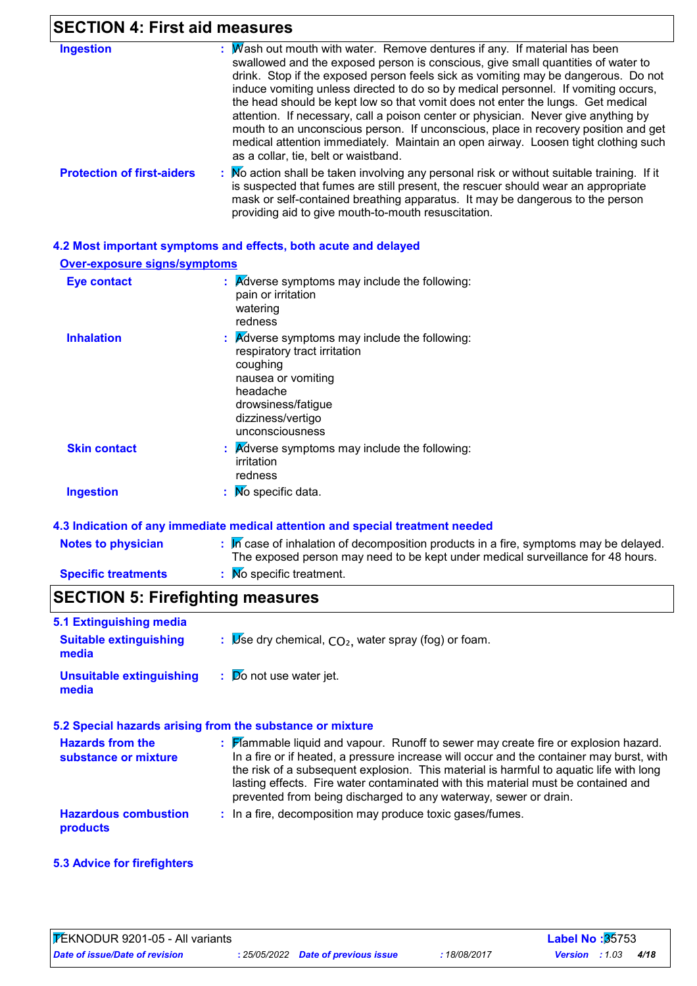### **SECTION 4: First aid measures**

| <b>Ingestion</b>                  | : $M$ ash out mouth with water. Remove dentures if any. If material has been<br>swallowed and the exposed person is conscious, give small quantities of water to<br>drink. Stop if the exposed person feels sick as vomiting may be dangerous. Do not<br>induce vomiting unless directed to do so by medical personnel. If vomiting occurs,<br>the head should be kept low so that vomit does not enter the lungs. Get medical<br>attention. If necessary, call a poison center or physician. Never give anything by<br>mouth to an unconscious person. If unconscious, place in recovery position and get<br>medical attention immediately. Maintain an open airway. Loosen tight clothing such<br>as a collar, tie, belt or waistband. |
|-----------------------------------|------------------------------------------------------------------------------------------------------------------------------------------------------------------------------------------------------------------------------------------------------------------------------------------------------------------------------------------------------------------------------------------------------------------------------------------------------------------------------------------------------------------------------------------------------------------------------------------------------------------------------------------------------------------------------------------------------------------------------------------|
| <b>Protection of first-aiders</b> | : No action shall be taken involving any personal risk or without suitable training. If it<br>is suspected that fumes are still present, the rescuer should wear an appropriate<br>mask or self-contained breathing apparatus. It may be dangerous to the person                                                                                                                                                                                                                                                                                                                                                                                                                                                                         |

providing aid to give mouth-to-mouth resuscitation.

### **4.2 Most important symptoms and effects, both acute and delayed**

**Over-exposure signs/symptoms**

| <b>Eye contact</b>  | $\therefore$ Adverse symptoms may include the following:<br>pain or irritation<br>watering<br>redness                                                                                                |
|---------------------|------------------------------------------------------------------------------------------------------------------------------------------------------------------------------------------------------|
| <b>Inhalation</b>   | $\therefore$ Adverse symptoms may include the following:<br>respiratory tract irritation<br>coughing<br>nausea or vomiting<br>headache<br>drowsiness/fatigue<br>dizziness/vertigo<br>unconsciousness |
| <b>Skin contact</b> | $\mathbf{R}$ <i>Adverse symptoms may include the following:</i><br>irritation<br>redness                                                                                                             |
| <b>Ingestion</b>    | : Mo specific data.                                                                                                                                                                                  |

#### **4.3 Indication of any immediate medical attention and special treatment needed**

| <b>Notes to physician</b>  | $\mathbb{R}$ Trues are of inhalation of decomposition products in a fire, symptoms may be delayed.<br>The exposed person may need to be kept under medical surveillance for 48 hours. |
|----------------------------|---------------------------------------------------------------------------------------------------------------------------------------------------------------------------------------|
| <b>Specific treatments</b> | : Mo specific treatment.                                                                                                                                                              |

# **SECTION 5: Firefighting measures**

| 5.1 Extinguishing media                         |                                                                                                                                                                                                                                                                                                                                                                                                                                    |
|-------------------------------------------------|------------------------------------------------------------------------------------------------------------------------------------------------------------------------------------------------------------------------------------------------------------------------------------------------------------------------------------------------------------------------------------------------------------------------------------|
| <b>Suitable extinguishing</b><br>media          | : $\mathbb{V}$ se dry chemical, $CO2$ , water spray (fog) or foam.                                                                                                                                                                                                                                                                                                                                                                 |
| <b>Unsuitable extinguishing</b><br>media        | $\mathbf{E}$ $\mathbf{D}$ o not use water jet.                                                                                                                                                                                                                                                                                                                                                                                     |
|                                                 | 5.2 Special hazards arising from the substance or mixture                                                                                                                                                                                                                                                                                                                                                                          |
| <b>Hazards from the</b><br>substance or mixture | : Flammable liquid and vapour. Runoff to sewer may create fire or explosion hazard.<br>In a fire or if heated, a pressure increase will occur and the container may burst, with<br>the risk of a subsequent explosion. This material is harmful to aquatic life with long<br>lasting effects. Fire water contaminated with this material must be contained and<br>prevented from being discharged to any waterway, sewer or drain. |
| <b>Hazardous combustion</b><br><b>products</b>  | : In a fire, decomposition may produce toxic gases/fumes.                                                                                                                                                                                                                                                                                                                                                                          |

### **5.3 Advice for firefighters**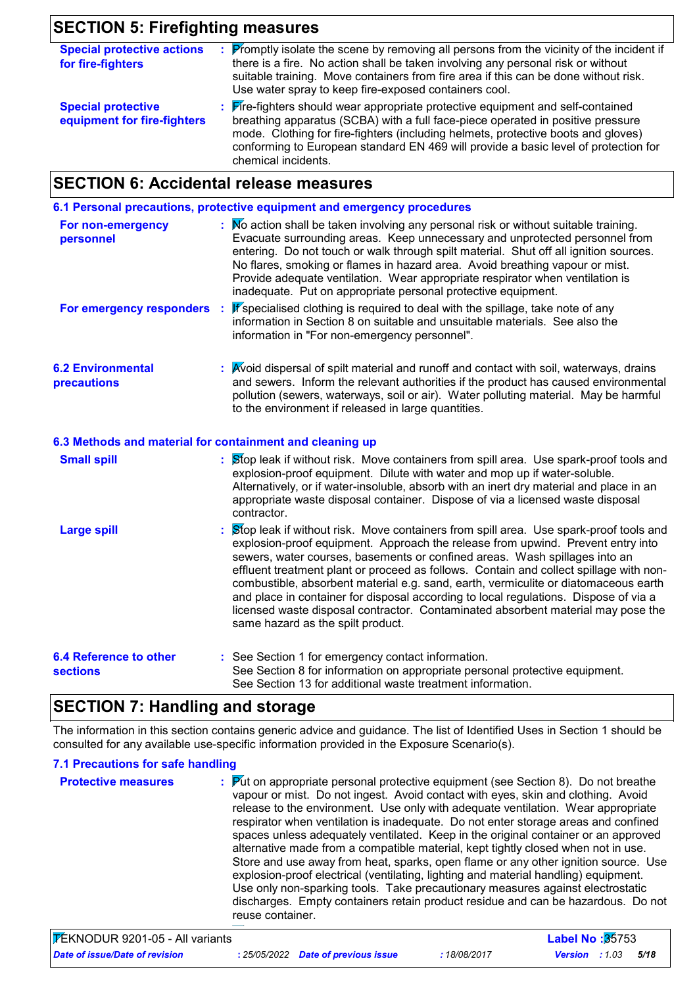### **SECTION 5: Firefighting measures**

| <b>Special protective actions</b><br>for fire-fighters   | <b>Promptly isolate the scene by removing all persons from the vicinity of the incident if</b><br>there is a fire. No action shall be taken involving any personal risk or without<br>suitable training. Move containers from fire area if this can be done without risk.<br>Use water spray to keep fire-exposed containers cool.                                    |
|----------------------------------------------------------|-----------------------------------------------------------------------------------------------------------------------------------------------------------------------------------------------------------------------------------------------------------------------------------------------------------------------------------------------------------------------|
| <b>Special protective</b><br>equipment for fire-fighters | : Fire-fighters should wear appropriate protective equipment and self-contained<br>breathing apparatus (SCBA) with a full face-piece operated in positive pressure<br>mode. Clothing for fire-fighters (including helmets, protective boots and gloves)<br>conforming to European standard EN 469 will provide a basic level of protection for<br>chemical incidents. |

### **SECTION 6: Accidental release measures**

**6.1 Personal precautions, protective equipment and emergency procedures**

| For non-emergency<br>personnel | : No action shall be taken involving any personal risk or without suitable training.<br>Evacuate surrounding areas. Keep unnecessary and unprotected personnel from<br>entering. Do not touch or walk through spilt material. Shut off all ignition sources.<br>No flares, smoking or flames in hazard area. Avoid breathing vapour or mist.<br>Provide adequate ventilation. Wear appropriate respirator when ventilation is<br>inadequate. Put on appropriate personal protective equipment. |
|--------------------------------|------------------------------------------------------------------------------------------------------------------------------------------------------------------------------------------------------------------------------------------------------------------------------------------------------------------------------------------------------------------------------------------------------------------------------------------------------------------------------------------------|
| For emergency responders :     | If specialised clothing is required to deal with the spillage, take note of any<br>information in Section 8 on suitable and unsuitable materials. See also the                                                                                                                                                                                                                                                                                                                                 |

information in "For non-emergency personnel".

**6.2 Environmental precautions** Avoid dispersal of spilt material and runoff and contact with soil, waterways, drains **:** and sewers. Inform the relevant authorities if the product has caused environmental pollution (sewers, waterways, soil or air). Water polluting material. May be harmful to the environment if released in large quantities.

#### **6.3 Methods and material for containment and cleaning up**

| <b>Small spill</b>                               | : Stop leak if without risk. Move containers from spill area. Use spark-proof tools and<br>explosion-proof equipment. Dilute with water and mop up if water-soluble.<br>Alternatively, or if water-insoluble, absorb with an inert dry material and place in an<br>appropriate waste disposal container. Dispose of via a licensed waste disposal<br>contractor.                                                                                                                                                                                                                                                                                           |
|--------------------------------------------------|------------------------------------------------------------------------------------------------------------------------------------------------------------------------------------------------------------------------------------------------------------------------------------------------------------------------------------------------------------------------------------------------------------------------------------------------------------------------------------------------------------------------------------------------------------------------------------------------------------------------------------------------------------|
| <b>Large spill</b>                               | : Stop leak if without risk. Move containers from spill area. Use spark-proof tools and<br>explosion-proof equipment. Approach the release from upwind. Prevent entry into<br>sewers, water courses, basements or confined areas. Wash spillages into an<br>effluent treatment plant or proceed as follows. Contain and collect spillage with non-<br>combustible, absorbent material e.g. sand, earth, vermiculite or diatomaceous earth<br>and place in container for disposal according to local regulations. Dispose of via a<br>licensed waste disposal contractor. Contaminated absorbent material may pose the<br>same hazard as the spilt product. |
| <b>6.4 Reference to other</b><br><b>sections</b> | : See Section 1 for emergency contact information.<br>See Section 8 for information on appropriate personal protective equipment.<br>See Section 13 for additional waste treatment information.                                                                                                                                                                                                                                                                                                                                                                                                                                                            |

### **SECTION 7: Handling and storage**

The information in this section contains generic advice and guidance. The list of Identified Uses in Section 1 should be consulted for any available use-specific information provided in the Exposure Scenario(s).

#### **7.1 Precautions for safe handling**

| <b>Protective measures</b> | <b>Put on appropriate personal protective equipment (see Section 8). Do not breathe</b><br>vapour or mist. Do not ingest. Avoid contact with eyes, skin and clothing. Avoid<br>release to the environment. Use only with adequate ventilation. Wear appropriate<br>respirator when ventilation is inadequate. Do not enter storage areas and confined<br>spaces unless adequately ventilated. Keep in the original container or an approved<br>alternative made from a compatible material, kept tightly closed when not in use.<br>Store and use away from heat, sparks, open flame or any other ignition source. Use<br>explosion-proof electrical (ventilating, lighting and material handling) equipment.<br>Use only non-sparking tools. Take precautionary measures against electrostatic<br>discharges. Empty containers retain product residue and can be hazardous. Do not |
|----------------------------|-------------------------------------------------------------------------------------------------------------------------------------------------------------------------------------------------------------------------------------------------------------------------------------------------------------------------------------------------------------------------------------------------------------------------------------------------------------------------------------------------------------------------------------------------------------------------------------------------------------------------------------------------------------------------------------------------------------------------------------------------------------------------------------------------------------------------------------------------------------------------------------|
|                            | reuse container.                                                                                                                                                                                                                                                                                                                                                                                                                                                                                                                                                                                                                                                                                                                                                                                                                                                                    |

| FEKNODUR 9201-05 - All variants |                                     |              | <b>Label No :3</b> 5753 |      |  |
|---------------------------------|-------------------------------------|--------------|-------------------------|------|--|
| Date of issue/Date of revision  | : 25/05/2022 Date of previous issue | : 18/08/2017 | <b>Version</b> : 1.03   | 5/18 |  |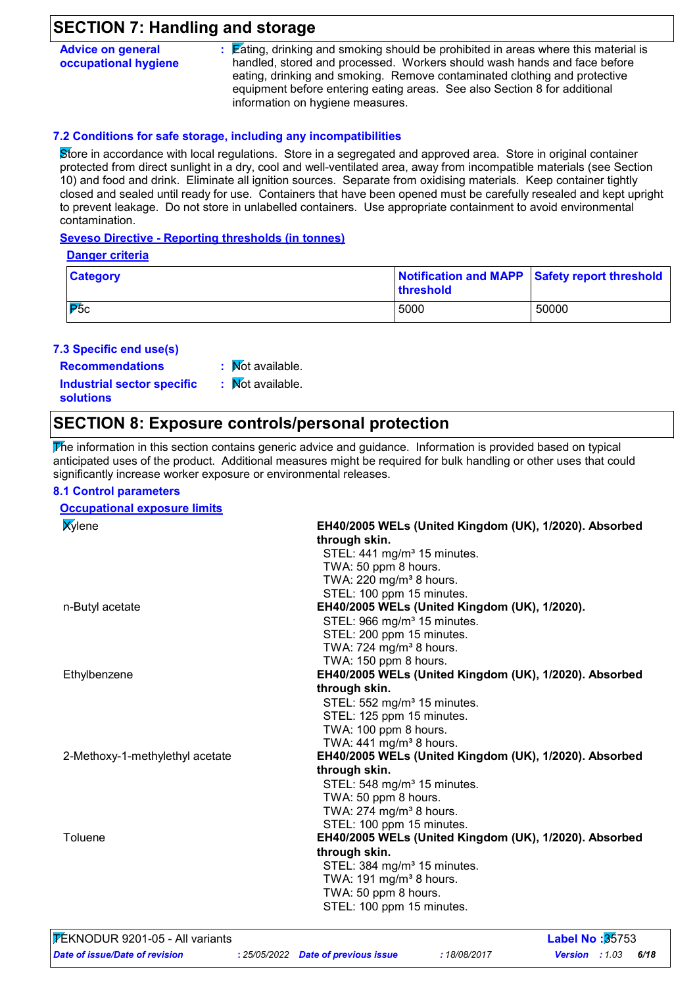### **SECTION 7: Handling and storage**

| <b>Advice on general</b> | : Eating, drinking and smoking should be prohibited in areas where this material is |
|--------------------------|-------------------------------------------------------------------------------------|
| occupational hygiene     | handled, stored and processed. Workers should wash hands and face before            |
|                          | eating, drinking and smoking. Remove contaminated clothing and protective           |
|                          | equipment before entering eating areas. See also Section 8 for additional           |
|                          | information on hygiene measures.                                                    |

### **7.2 Conditions for safe storage, including any incompatibilities**

Store in accordance with local regulations. Store in a segregated and approved area. Store in original container protected from direct sunlight in a dry, cool and well-ventilated area, away from incompatible materials (see Section 10) and food and drink. Eliminate all ignition sources. Separate from oxidising materials. Keep container tightly closed and sealed until ready for use. Containers that have been opened must be carefully resealed and kept upright to prevent leakage. Do not store in unlabelled containers. Use appropriate containment to avoid environmental contamination.

#### **Seveso Directive - Reporting thresholds (in tonnes)**

|--|

| <b>Category</b> | <b>threshold</b> | Notification and MAPP Safety report threshold |
|-----------------|------------------|-----------------------------------------------|
| IP5c            | 5000             | 50000                                         |

### **7.3 Specific end use(s)**

**Recommendations :**  $\overline{\mathsf{N}}$ ot available.

**Industrial sector specific : solutions**

### : Mot available.

### **SECTION 8: Exposure controls/personal protection**

 $\overline{\text{F}}$ he information in this section contains generic advice and guidance. Information is provided based on typical anticipated uses of the product. Additional measures might be required for bulk handling or other uses that could significantly increase worker exposure or environmental releases.

#### **8.1 Control parameters**

#### **Occupational exposure limits** Xylene **EH40/2005 WELs (United Kingdom (UK), 1/2020). Absorbed through skin.** STEL: 441 mg/m<sup>3</sup> 15 minutes. TWA: 50 ppm 8 hours. TWA:  $220 \text{ mg/m}^3$  8 hours. STEL: 100 ppm 15 minutes. n-Butyl acetate **EH40/2005 WELs (United Kingdom (UK), 1/2020).** STEL: 966 mg/m<sup>3</sup> 15 minutes. STEL: 200 ppm 15 minutes. TWA:  $724 \text{ mg/m}^3$  8 hours. TWA: 150 ppm 8 hours. Ethylbenzene **EH40/2005 WELs (United Kingdom (UK), 1/2020). Absorbed through skin.**  $STEL: 552$  mg/m $3$  15 minutes. STEL: 125 ppm 15 minutes. TWA: 100 ppm 8 hours. TWA:  $441$  mg/m<sup>3</sup> 8 hours. 2-Methoxy-1-methylethyl acetate **EH40/2005 WELs (United Kingdom (UK), 1/2020). Absorbed through skin.** STEL: 548 mg/m<sup>3</sup> 15 minutes. TWA: 50 ppm 8 hours. TWA:  $274$  mg/m<sup>3</sup> 8 hours. STEL: 100 ppm 15 minutes. Toluene **EH40/2005 WELs (United Kingdom (UK), 1/2020). Absorbed through skin.** STEL: 384 mg/m<sup>3</sup> 15 minutes. TWA:  $191 \text{ mg/m}^3$  8 hours. TWA: 50 ppm 8 hours. STEL: 100 ppm 15 minutes.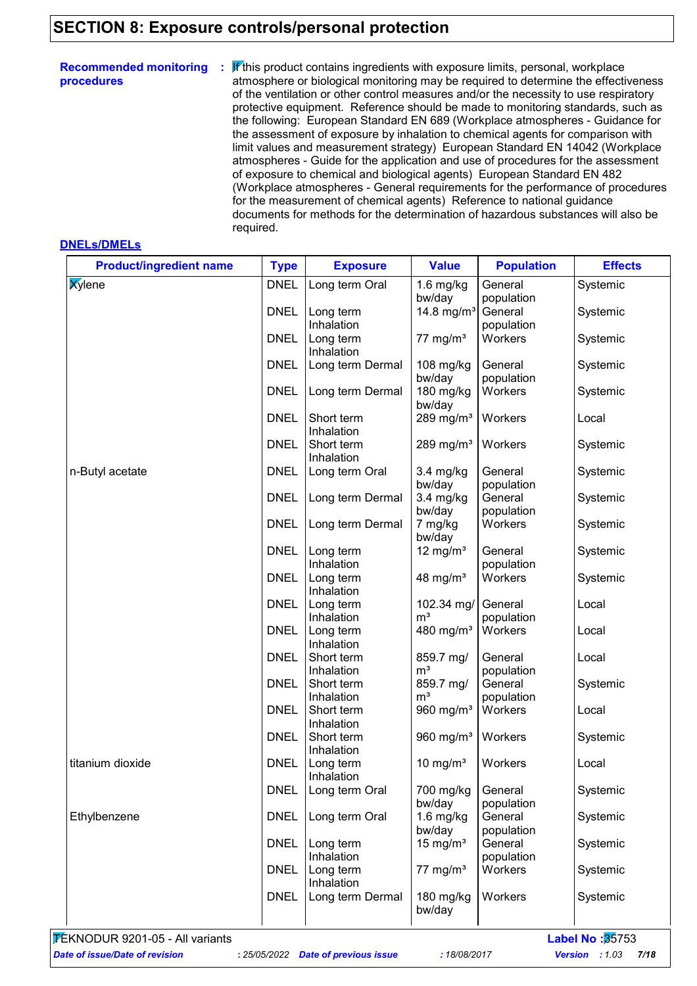### **SECTION 8: Exposure controls/personal protection**

| <b>Recommended monitoring</b><br>procedures | If this product contains ingredients with exposure limits, personal, workplace<br>÷.<br>atmosphere or biological monitoring may be required to determine the effectiveness<br>of the ventilation or other control measures and/or the necessity to use respiratory<br>protective equipment. Reference should be made to monitoring standards, such as<br>the following: European Standard EN 689 (Workplace atmospheres - Guidance for<br>the assessment of exposure by inhalation to chemical agents for comparison with<br>limit values and measurement strategy) European Standard EN 14042 (Workplace<br>atmospheres - Guide for the application and use of procedures for the assessment<br>of exposure to chemical and biological agents) European Standard EN 482<br>(Workplace atmospheres - General requirements for the performance of procedures<br>for the measurement of chemical agents) Reference to national guidance<br>documents for methods for the determination of hazardous substances will also be |
|---------------------------------------------|---------------------------------------------------------------------------------------------------------------------------------------------------------------------------------------------------------------------------------------------------------------------------------------------------------------------------------------------------------------------------------------------------------------------------------------------------------------------------------------------------------------------------------------------------------------------------------------------------------------------------------------------------------------------------------------------------------------------------------------------------------------------------------------------------------------------------------------------------------------------------------------------------------------------------------------------------------------------------------------------------------------------------|
|                                             | required.                                                                                                                                                                                                                                                                                                                                                                                                                                                                                                                                                                                                                                                                                                                                                                                                                                                                                                                                                                                                                 |

#### **DNELs/DMELs**

| <b>Product/ingredient name</b> | <b>Type</b> | <b>Exposure</b>          | <b>Value</b>                 | <b>Population</b>     | <b>Effects</b> |
|--------------------------------|-------------|--------------------------|------------------------------|-----------------------|----------------|
| <b>Xylene</b>                  | <b>DNEL</b> | Long term Oral           | $1.6$ mg/kg<br>bw/day        | General<br>population | Systemic       |
|                                | <b>DNEL</b> | Long term<br>Inhalation  | 14.8 mg/m <sup>3</sup>       | General               | Systemic       |
|                                | <b>DNEL</b> | Long term<br>Inhalation  | 77 mg/m $3$                  | population<br>Workers | Systemic       |
|                                | <b>DNEL</b> | Long term Dermal         | 108 mg/kg<br>bw/day          | General<br>population | Systemic       |
|                                | <b>DNEL</b> | Long term Dermal         | 180 mg/kg<br>bw/day          | Workers               | Systemic       |
|                                | <b>DNEL</b> | Short term<br>Inhalation | 289 mg/m $3$                 | Workers               | Local          |
|                                | <b>DNEL</b> | Short term<br>Inhalation | 289 mg/m <sup>3</sup>        | Workers               | Systemic       |
| n-Butyl acetate                | <b>DNEL</b> | Long term Oral           | $3.4$ mg/kg<br>bw/day        | General<br>population | Systemic       |
|                                | <b>DNEL</b> | Long term Dermal         | $3.4$ mg/kg<br>bw/day        | General<br>population | Systemic       |
|                                | <b>DNEL</b> | Long term Dermal         | 7 mg/kg<br>bw/day            | Workers               | Systemic       |
|                                | <b>DNEL</b> | Long term<br>Inhalation  | 12 mg/m <sup>3</sup>         | General<br>population | Systemic       |
|                                | <b>DNEL</b> | Long term<br>Inhalation  | 48 mg/ $m3$                  | Workers               | Systemic       |
|                                | <b>DNEL</b> | Long term<br>Inhalation  | 102.34 mg/<br>m <sup>3</sup> | General<br>population | Local          |
|                                | <b>DNEL</b> | Long term<br>Inhalation  | 480 mg/m <sup>3</sup>        | Workers               | Local          |
|                                | <b>DNEL</b> | Short term<br>Inhalation | 859.7 mg/<br>m <sup>3</sup>  | General<br>population | Local          |
|                                | <b>DNEL</b> | Short term<br>Inhalation | 859.7 mg/<br>m <sup>3</sup>  | General<br>population | Systemic       |
|                                | <b>DNEL</b> | Short term<br>Inhalation | 960 mg/m <sup>3</sup>        | Workers               | Local          |
|                                | <b>DNEL</b> | Short term<br>Inhalation | 960 mg/m <sup>3</sup>        | Workers               | Systemic       |
| titanium dioxide               | <b>DNEL</b> | Long term<br>Inhalation  | 10 mg/ $m3$                  | Workers               | Local          |
|                                | <b>DNEL</b> | Long term Oral           | 700 mg/kg<br>bw/day          | General<br>population | Systemic       |
| Ethylbenzene                   | <b>DNEL</b> | Long term Oral           | $1.6$ mg/kg<br>bw/day        | General<br>population | Systemic       |
|                                | <b>DNEL</b> | Long term<br>Inhalation  | 15 mg/ $m3$                  | General<br>population | Systemic       |
|                                | <b>DNEL</b> | Long term<br>Inhalation  | $77 \text{ mg/m}^3$          | Workers               | Systemic       |
|                                | <b>DNEL</b> | Long term Dermal         | 180 mg/kg<br>bw/day          | Workers               | Systemic       |

*Date of issue/Date of revision* **:** *25/05/2022 Date of previous issue : 18/08/2017 Version : 1.03 7/18*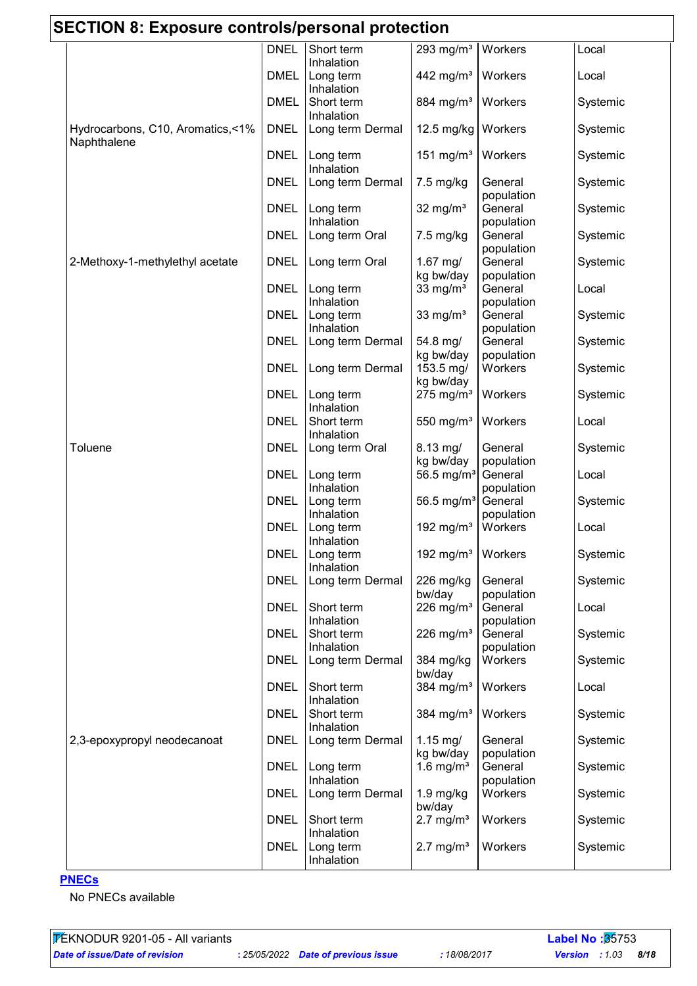| <b>SECTION 8: Exposure controls/personal protection</b> |                            |                                      |                                          |                                  |                   |
|---------------------------------------------------------|----------------------------|--------------------------------------|------------------------------------------|----------------------------------|-------------------|
|                                                         | <b>DNEL</b>                | Short term<br>Inhalation             | 293 mg/ $m3$                             | Workers                          | Local             |
|                                                         | <b>DMEL</b>                | Long term<br>Inhalation              | 442 mg/m <sup>3</sup>                    | Workers                          | Local             |
|                                                         | <b>DMEL</b>                | Short term<br>Inhalation             | 884 mg/m <sup>3</sup>                    | Workers                          | Systemic          |
| Hydrocarbons, C10, Aromatics, <1%<br>Naphthalene        | <b>DNEL</b>                | Long term Dermal                     | 12.5 mg/kg                               | Workers                          | Systemic          |
|                                                         | <b>DNEL</b>                | Long term<br>Inhalation              | 151 mg/m <sup>3</sup>                    | Workers                          | Systemic          |
|                                                         | <b>DNEL</b>                | Long term Dermal                     | 7.5 mg/kg                                | General<br>population            | Systemic          |
|                                                         | <b>DNEL</b>                | Long term<br>Inhalation              | 32 mg/ $m3$                              | General<br>population            | Systemic          |
|                                                         | <b>DNEL</b>                | Long term Oral                       | 7.5 mg/kg                                | General<br>population            | Systemic          |
| 2-Methoxy-1-methylethyl acetate                         | <b>DNEL</b>                | Long term Oral                       | $1.67$ mg/<br>kg bw/day                  | General<br>population            | Systemic          |
|                                                         | <b>DNEL</b>                | Long term<br>Inhalation              | 33 mg/ $m3$                              | General<br>population            | Local             |
|                                                         | <b>DNEL</b>                | Long term<br>Inhalation              | 33 mg/ $m3$                              | General<br>population            | Systemic          |
|                                                         | <b>DNEL</b>                | Long term Dermal                     | 54.8 mg/<br>kg bw/day                    | General<br>population            | Systemic          |
|                                                         | <b>DNEL</b>                | Long term Dermal                     | 153.5 mg/<br>kg bw/day                   | Workers                          | Systemic          |
|                                                         | <b>DNEL</b>                | Long term<br>Inhalation              | $275$ mg/m <sup>3</sup>                  | Workers                          | Systemic          |
|                                                         | <b>DNEL</b>                | Short term<br>Inhalation             | 550 mg/m <sup>3</sup>                    | Workers                          | Local             |
| Toluene                                                 | <b>DNEL</b><br><b>DNEL</b> | Long term Oral                       | $8.13$ mg/<br>kg bw/day                  | General<br>population            | Systemic          |
|                                                         | <b>DNEL</b>                | Long term<br>Inhalation              | 56.5 mg/ $m^3$<br>56.5 mg/m <sup>3</sup> | General<br>population<br>General | Local<br>Systemic |
|                                                         | <b>DNEL</b>                | Long term<br>Inhalation<br>Long term | 192 mg/m <sup>3</sup>                    | population<br>Workers            | Local             |
|                                                         | <b>DNEL</b>                | Inhalation<br>Long term              | 192 mg/m $3$                             | Workers                          | Systemic          |
|                                                         | <b>DNEL</b>                | Inhalation<br>Long term Dermal       | 226 mg/kg                                | General                          | Systemic          |
|                                                         | <b>DNEL</b>                | Short term                           | bw/day<br>226 mg/m $3$                   | population<br>General            | Local             |
|                                                         | <b>DNEL</b>                | Inhalation<br>Short term             | 226 mg/m $3$                             | population<br>General            | Systemic          |
|                                                         | <b>DNEL</b>                | Inhalation<br>Long term Dermal       | 384 mg/kg                                | population<br>Workers            | Systemic          |
|                                                         | <b>DNEL</b>                | Short term<br>Inhalation             | bw/day<br>384 mg/m <sup>3</sup>          | Workers                          | Local             |
|                                                         | <b>DNEL</b>                | Short term<br>Inhalation             | 384 mg/m <sup>3</sup>                    | Workers                          | Systemic          |
| 2,3-epoxypropyl neodecanoat                             | <b>DNEL</b>                | Long term Dermal                     | $1.15$ mg/<br>kg bw/day                  | General<br>population            | Systemic          |
|                                                         | <b>DNEL</b>                | Long term<br>Inhalation              | 1.6 mg/ $m3$                             | General<br>population            | Systemic          |
|                                                         | <b>DNEL</b>                | Long term Dermal                     | $1.9$ mg/kg<br>bw/day                    | Workers                          | Systemic          |
|                                                         | <b>DNEL</b>                | Short term<br>Inhalation             | $2.7 \text{ mg/m}^3$                     | Workers                          | Systemic          |
|                                                         | <b>DNEL</b>                | Long term<br>Inhalation              | $2.7 \text{ mg/m}^3$                     | Workers                          | Systemic          |

### **PNECs**

No PNECs available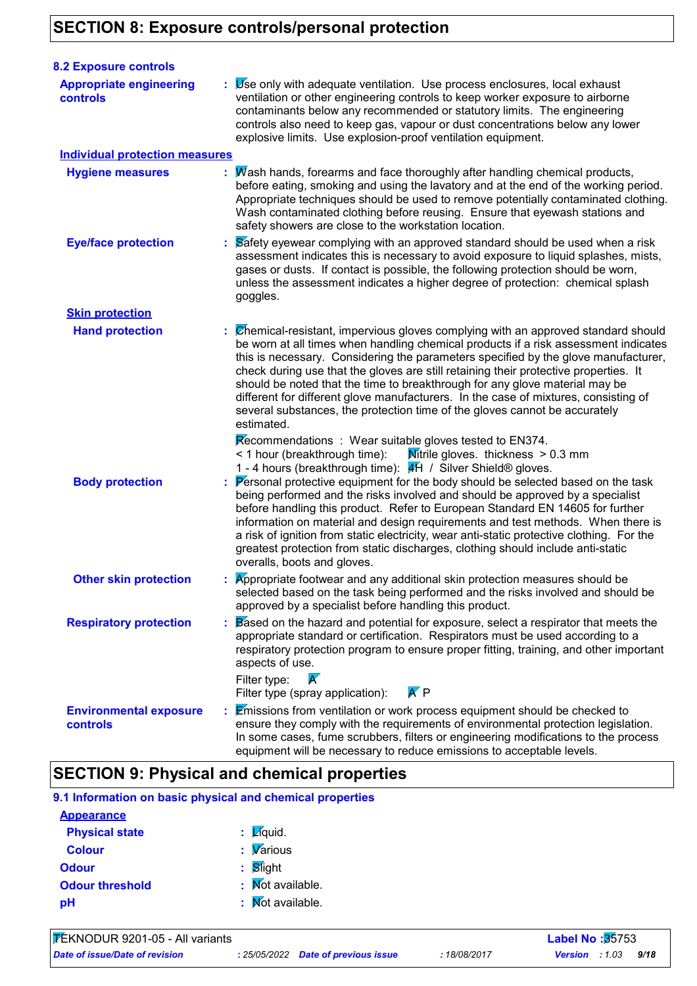### **SECTION 8: Exposure controls/personal protection**

| <b>8.2 Exposure controls</b>                     |                                                                                                                                                                                                                                                                                                                                                                                                                                                                                                                                                                                                                                                                                                                                                                                                                                                                                                                                                                                                                                                                                                                                                                                                                                                                                                                                                         |
|--------------------------------------------------|---------------------------------------------------------------------------------------------------------------------------------------------------------------------------------------------------------------------------------------------------------------------------------------------------------------------------------------------------------------------------------------------------------------------------------------------------------------------------------------------------------------------------------------------------------------------------------------------------------------------------------------------------------------------------------------------------------------------------------------------------------------------------------------------------------------------------------------------------------------------------------------------------------------------------------------------------------------------------------------------------------------------------------------------------------------------------------------------------------------------------------------------------------------------------------------------------------------------------------------------------------------------------------------------------------------------------------------------------------|
| <b>Appropriate engineering</b><br>controls       | $\mathbf{y}$ $\mathbf{y}$ se only with adequate ventilation. Use process enclosures, local exhaust<br>ventilation or other engineering controls to keep worker exposure to airborne<br>contaminants below any recommended or statutory limits. The engineering<br>controls also need to keep gas, vapour or dust concentrations below any lower<br>explosive limits. Use explosion-proof ventilation equipment.                                                                                                                                                                                                                                                                                                                                                                                                                                                                                                                                                                                                                                                                                                                                                                                                                                                                                                                                         |
| <b>Individual protection measures</b>            |                                                                                                                                                                                                                                                                                                                                                                                                                                                                                                                                                                                                                                                                                                                                                                                                                                                                                                                                                                                                                                                                                                                                                                                                                                                                                                                                                         |
| <b>Hygiene measures</b>                          | : Mash hands, forearms and face thoroughly after handling chemical products,<br>before eating, smoking and using the lavatory and at the end of the working period.<br>Appropriate techniques should be used to remove potentially contaminated clothing.<br>Wash contaminated clothing before reusing. Ensure that eyewash stations and<br>safety showers are close to the workstation location.                                                                                                                                                                                                                                                                                                                                                                                                                                                                                                                                                                                                                                                                                                                                                                                                                                                                                                                                                       |
| <b>Eye/face protection</b>                       | Safety eyewear complying with an approved standard should be used when a risk<br>assessment indicates this is necessary to avoid exposure to liquid splashes, mists,<br>gases or dusts. If contact is possible, the following protection should be worn,<br>unless the assessment indicates a higher degree of protection: chemical splash<br>goggles.                                                                                                                                                                                                                                                                                                                                                                                                                                                                                                                                                                                                                                                                                                                                                                                                                                                                                                                                                                                                  |
| <b>Skin protection</b>                           |                                                                                                                                                                                                                                                                                                                                                                                                                                                                                                                                                                                                                                                                                                                                                                                                                                                                                                                                                                                                                                                                                                                                                                                                                                                                                                                                                         |
| <b>Hand protection</b><br><b>Body protection</b> | : Chemical-resistant, impervious gloves complying with an approved standard should<br>be worn at all times when handling chemical products if a risk assessment indicates<br>this is necessary. Considering the parameters specified by the glove manufacturer,<br>check during use that the gloves are still retaining their protective properties. It<br>should be noted that the time to breakthrough for any glove material may be<br>different for different glove manufacturers. In the case of mixtures, consisting of<br>several substances, the protection time of the gloves cannot be accurately<br>estimated.<br>Recommendations : Wear suitable gloves tested to EN374.<br>Mitrile gloves. thickness $> 0.3$ mm<br>< 1 hour (breakthrough time):<br>1 - 4 hours (breakthrough time): #H / Silver Shield® gloves.<br>: Personal protective equipment for the body should be selected based on the task<br>being performed and the risks involved and should be approved by a specialist<br>before handling this product. Refer to European Standard EN 14605 for further<br>information on material and design requirements and test methods. When there is<br>a risk of ignition from static electricity, wear anti-static protective clothing. For the<br>greatest protection from static discharges, clothing should include anti-static |
| <b>Other skin protection</b>                     | overalls, boots and gloves.<br>Appropriate footwear and any additional skin protection measures should be<br>selected based on the task being performed and the risks involved and should be<br>approved by a specialist before handling this product.                                                                                                                                                                                                                                                                                                                                                                                                                                                                                                                                                                                                                                                                                                                                                                                                                                                                                                                                                                                                                                                                                                  |
| <b>Respiratory protection</b>                    | Based on the hazard and potential for exposure, select a respirator that meets the<br>appropriate standard or certification. Respirators must be used according to a<br>respiratory protection program to ensure proper fitting, training, and other important<br>aspects of use.<br>$\boldsymbol{\mathcal{K}}$<br>Filter type:<br>$\mathsf{A}'\mathsf{P}$<br>Filter type (spray application):                                                                                                                                                                                                                                                                                                                                                                                                                                                                                                                                                                                                                                                                                                                                                                                                                                                                                                                                                          |
| <b>Environmental exposure</b><br><b>controls</b> | : Emissions from ventilation or work process equipment should be checked to<br>ensure they comply with the requirements of environmental protection legislation.<br>In some cases, fume scrubbers, filters or engineering modifications to the process<br>equipment will be necessary to reduce emissions to acceptable levels.                                                                                                                                                                                                                                                                                                                                                                                                                                                                                                                                                                                                                                                                                                                                                                                                                                                                                                                                                                                                                         |

### **SECTION 9: Physical and chemical properties**

| <b>Appearance</b>      |                                                     |
|------------------------|-----------------------------------------------------|
| <b>Physical state</b>  | $\mathbf{z}$ $\mathbf{z}$ $\mathbf{z}$ $\mathbf{z}$ |
| <b>Colour</b>          | $\sqrt{\frac{1}{2}}$ <i>Various</i>                 |
| <b>Odour</b>           | $\mathbf{S}$ light                                  |
| <b>Odour threshold</b> | $\mathbf{N}$ Mot available.                         |
| рH                     | : Mot available.                                    |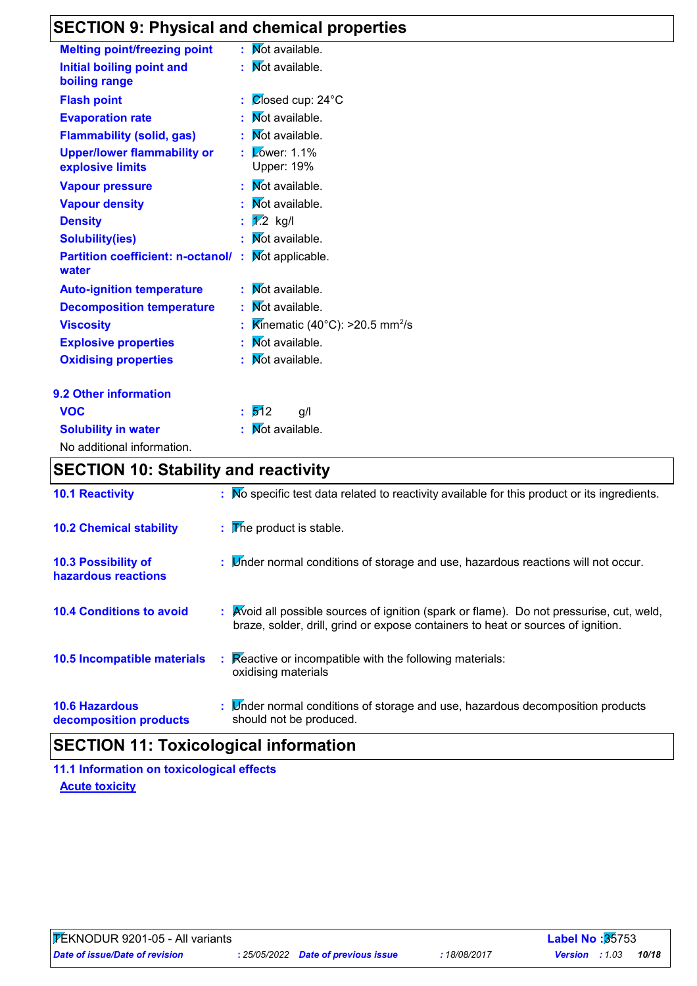# **SECTION 9: Physical and chemical properties**

| <b>Melting point/freezing point</b>                    |    | Not available.                                        |
|--------------------------------------------------------|----|-------------------------------------------------------|
| Initial boiling point and<br>boiling range             |    | Not available.                                        |
| <b>Flash point</b>                                     |    | Ølosed cup: 24°C                                      |
| <b>Evaporation rate</b>                                |    | Not available.                                        |
| <b>Flammability (solid, gas)</b>                       |    | : Mot available.                                      |
| <b>Upper/lower flammability or</b><br>explosive limits | ×, | $\sqrt{\phantom{a}}$ Zower: 1.1%<br><b>Upper: 19%</b> |
| <b>Vapour pressure</b>                                 |    | Not available.                                        |
| <b>Vapour density</b>                                  |    | Not available.                                        |
| <b>Density</b>                                         |    | : $\sqrt{2}$ kg/l                                     |
| <b>Solubility(ies)</b>                                 |    | Not available.                                        |
| <b>Partition coefficient: n-octanol/:</b><br>water     |    | Mot applicable.                                       |
| <b>Auto-ignition temperature</b>                       |    | Not available.                                        |
| <b>Decomposition temperature</b>                       |    | Mot available.                                        |
| <b>Viscosity</b>                                       |    | Kinematic (40°C): >20.5 mm <sup>2</sup> /s            |
| <b>Explosive properties</b>                            | t  | Not available.                                        |
| <b>Oxidising properties</b>                            |    | Mot available.                                        |
| 9.2 Other information                                  |    |                                                       |
| <b>VOC</b>                                             | t. | 512<br>g/l                                            |
| <b>Solubility in water</b>                             |    | Not available.                                        |

| <b>Solubility in water</b> |
|----------------------------|
| No additional information. |

### **SECTION 10: Stability and reactivity**

| <b>10.1 Reactivity</b>                          | : No specific test data related to reactivity available for this product or its ingredients.                                                                                 |
|-------------------------------------------------|------------------------------------------------------------------------------------------------------------------------------------------------------------------------------|
| <b>10.2 Chemical stability</b>                  | $\mathbf{F}$ The product is stable.                                                                                                                                          |
| 10.3 Possibility of<br>hazardous reactions      | : Linder normal conditions of storage and use, hazardous reactions will not occur.                                                                                           |
| <b>10.4 Conditions to avoid</b>                 | : Avoid all possible sources of ignition (spark or flame). Do not pressurise, cut, weld,<br>braze, solder, drill, grind or expose containers to heat or sources of ignition. |
| 10.5 Incompatible materials                     | Reactive or incompatible with the following materials:<br>÷.<br>oxidising materials                                                                                          |
| <b>10.6 Hazardous</b><br>decomposition products | : Linder normal conditions of storage and use, hazardous decomposition products<br>should not be produced.                                                                   |

### **SECTION 11: Toxicological information**

**Acute toxicity 11.1 Information on toxicological effects**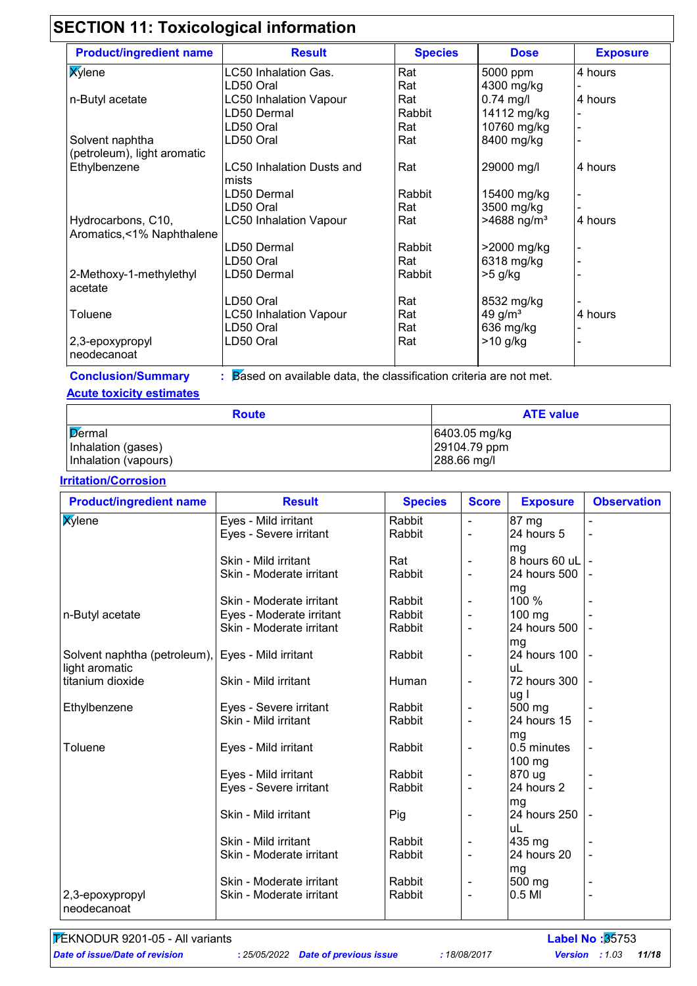# **SECTION 11: Toxicological information**

| <b>Product/ingredient name</b> | <b>Result</b>                 | <b>Species</b> | <b>Dose</b>               | <b>Exposure</b> |
|--------------------------------|-------------------------------|----------------|---------------------------|-----------------|
| <b>X</b> ylene                 | LC50 Inhalation Gas.          | Rat            | 5000 ppm                  | 4 hours         |
|                                | LD50 Oral                     | Rat            | 4300 mg/kg                |                 |
| n-Butyl acetate                | <b>LC50 Inhalation Vapour</b> | Rat            | $0.74$ mg/l               | 4 hours         |
|                                | LD50 Dermal                   | Rabbit         | 14112 mg/kg               |                 |
|                                | LD50 Oral                     | Rat            | 10760 mg/kg               |                 |
| Solvent naphtha                | LD50 Oral                     | Rat            | 8400 mg/kg                |                 |
| (petroleum), light aromatic    |                               |                |                           |                 |
| Ethylbenzene                   | LC50 Inhalation Dusts and     | Rat            | 29000 mg/l                | 4 hours         |
|                                | mists                         |                |                           |                 |
|                                | LD50 Dermal                   | Rabbit         | 15400 mg/kg               |                 |
|                                | LD50 Oral                     | Rat            | 3500 mg/kg                |                 |
| Hydrocarbons, C10,             | <b>LC50 Inhalation Vapour</b> | Rat            | $>4688$ ng/m <sup>3</sup> | 4 hours         |
| Aromatics, <1% Naphthalene     |                               |                |                           |                 |
|                                | LD50 Dermal                   | Rabbit         | >2000 mg/kg               |                 |
|                                | LD50 Oral                     | Rat            | 6318 mg/kg                |                 |
| 2-Methoxy-1-methylethyl        | LD50 Dermal                   | Rabbit         | $>5$ g/kg                 |                 |
| acetate                        |                               |                |                           |                 |
|                                | LD50 Oral                     | Rat            | 8532 mg/kg                |                 |
| Toluene                        | <b>LC50 Inhalation Vapour</b> | Rat            | 49 g/ $m3$                | 4 hours         |
|                                | LD50 Oral                     | Rat            | 636 mg/kg                 |                 |
| 2,3-epoxypropyl                | LD50 Oral                     | Rat            | $>10$ g/kg                |                 |
| neodecanoat                    |                               |                |                           |                 |

**Conclusion/Summary :**

Based on available data, the classification criteria are not met.

### **Acute toxicity estimates**

| <b>Route</b>         | <b>ATE value</b> |
|----------------------|------------------|
| Dermal               | 6403.05 mg/kg    |
| Inhalation (gases)   | 29104.79 ppm     |
| Inhalation (vapours) | 288.66 mg/l      |

### **Irritation/Corrosion**

| <b>Product/ingredient name</b>                    | <b>Result</b>            | <b>Species</b> | <b>Score</b>   | <b>Exposure</b> | <b>Observation</b> |
|---------------------------------------------------|--------------------------|----------------|----------------|-----------------|--------------------|
| <b>X</b> ylene                                    | Eyes - Mild irritant     | Rabbit         | $\blacksquare$ | 87 mg           |                    |
|                                                   | Eyes - Severe irritant   | Rabbit         |                | 24 hours 5      |                    |
|                                                   |                          |                |                | mg              |                    |
|                                                   | Skin - Mild irritant     | Rat            |                | 8 hours 60 uL   |                    |
|                                                   | Skin - Moderate irritant | Rabbit         | $\blacksquare$ | 24 hours 500    |                    |
|                                                   |                          |                |                | mg              |                    |
|                                                   | Skin - Moderate irritant | Rabbit         |                | 100 %           |                    |
| n-Butyl acetate                                   | Eyes - Moderate irritant | Rabbit         | $\blacksquare$ | 100 mg          |                    |
|                                                   | Skin - Moderate irritant | Rabbit         | $\blacksquare$ | 24 hours 500    |                    |
|                                                   |                          |                |                | mg              |                    |
| Solvent naphtha (petroleum), Eyes - Mild irritant |                          | Rabbit         | $\blacksquare$ | 24 hours 100    |                    |
| light aromatic                                    |                          |                |                | uL              |                    |
| titanium dioxide                                  | Skin - Mild irritant     | Human          |                | 72 hours 300    |                    |
|                                                   |                          |                |                | ug I            |                    |
| Ethylbenzene                                      | Eyes - Severe irritant   | Rabbit         | $\overline{a}$ | 500 mg          |                    |
|                                                   | Skin - Mild irritant     | Rabbit         |                | 24 hours 15     |                    |
|                                                   |                          |                |                | mg              |                    |
| Toluene                                           | Eyes - Mild irritant     | Rabbit         | $\blacksquare$ | 0.5 minutes     |                    |
|                                                   |                          |                |                | 100 mg          |                    |
|                                                   | Eyes - Mild irritant     | Rabbit         |                | 870 ug          |                    |
|                                                   | Eyes - Severe irritant   | Rabbit         |                | 24 hours 2      |                    |
|                                                   |                          |                |                | mg              |                    |
|                                                   | Skin - Mild irritant     | Pig            |                | 24 hours 250    |                    |
|                                                   |                          |                |                | uL              |                    |
|                                                   | Skin - Mild irritant     | Rabbit         |                | 435 mg          |                    |
|                                                   | Skin - Moderate irritant | Rabbit         | $\blacksquare$ | 24 hours 20     | $\blacksquare$     |
|                                                   |                          |                |                | mg              |                    |
|                                                   | Skin - Moderate irritant | Rabbit         |                | 500 mg          |                    |
| 2,3-epoxypropyl                                   | Skin - Moderate irritant | Rabbit         |                | 0.5 MI          | $\blacksquare$     |
| neodecanoat                                       |                          |                |                |                 |                    |

TEKNODUR 9201-05 - All variants **Label No :**35753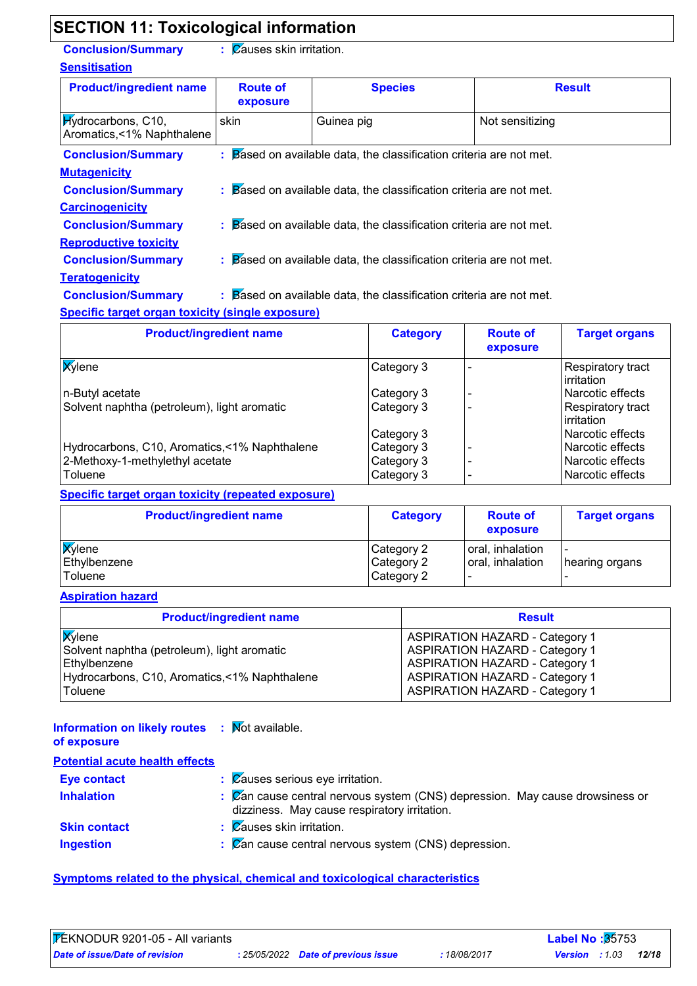### **SECTION 11: Toxicological information**

**Conclusion/Summary :**

: Causes skin irritation.

| <b>Sensitisation</b>                                    |                             |                                                                                |                 |
|---------------------------------------------------------|-----------------------------|--------------------------------------------------------------------------------|-----------------|
| <b>Product/ingredient name</b>                          | <b>Route of</b><br>exposure | <b>Species</b>                                                                 | <b>Result</b>   |
| <b>Hydrocarbons</b> , C10,<br>Aromatics,<1% Naphthalene | skin                        | Guinea pig                                                                     | Not sensitizing |
| <b>Conclusion/Summary</b>                               |                             | $\therefore$ Based on available data, the classification criteria are not met. |                 |
| <b>Mutagenicity</b>                                     |                             |                                                                                |                 |
| <b>Conclusion/Summary</b>                               |                             | $\therefore$ Based on available data, the classification criteria are not met. |                 |
| <b>Carcinogenicity</b>                                  |                             |                                                                                |                 |
| <b>Conclusion/Summary</b>                               |                             | $\therefore$ Based on available data, the classification criteria are not met. |                 |
| <b>Reproductive toxicity</b>                            |                             |                                                                                |                 |
| <b>Conclusion/Summary</b>                               |                             | $\therefore$ Based on available data, the classification criteria are not met. |                 |

#### **Teratogenicity**

**Conclusion/Summary :**

Based on available data, the classification criteria are not met.

### **Specific target organ toxicity (single exposure)**

| <b>Product/ingredient name</b>                | <b>Category</b> | <b>Route of</b><br>exposure | <b>Target organs</b>                           |
|-----------------------------------------------|-----------------|-----------------------------|------------------------------------------------|
| <b>X</b> ylene                                | Category 3      |                             | Respiratory tract<br>l irritation              |
| n-Butyl acetate                               | Category 3      |                             | l Narcotic effects                             |
| Solvent naphtha (petroleum), light aromatic   | Category 3      |                             | <b>Respiratory tract</b><br><b>lirritation</b> |
|                                               | Category 3      |                             | l Narcotic effects                             |
| Hydrocarbons, C10, Aromatics, <1% Naphthalene | Category 3      |                             | l Narcotic effects                             |
| 2-Methoxy-1-methylethyl acetate               | Category 3      |                             | l Narcotic effects                             |
| Toluene                                       | Category 3      |                             | Narcotic effects                               |

#### **Specific target organ toxicity (repeated exposure)**

| <b>Product/ingredient name</b> | <b>Category</b>          | <b>Route of</b><br>exposure          | <b>Target organs</b>                       |  |
|--------------------------------|--------------------------|--------------------------------------|--------------------------------------------|--|
| <b>X</b> ylene<br>Ethylbenzene | Category 2<br>Category 2 | oral, inhalation<br>oral, inhalation | $\overline{\phantom{0}}$<br>hearing organs |  |
| Toluene                        | Category 2               |                                      |                                            |  |

### **Aspiration hazard**

| <b>Product/ingredient name</b>                | <b>Result</b>                         |
|-----------------------------------------------|---------------------------------------|
| <b>X</b> ylene                                | <b>ASPIRATION HAZARD - Category 1</b> |
| Solvent naphtha (petroleum), light aromatic   | <b>ASPIRATION HAZARD - Category 1</b> |
| Ethylbenzene                                  | <b>ASPIRATION HAZARD - Category 1</b> |
| Hydrocarbons, C10, Aromatics, <1% Naphthalene | <b>ASPIRATION HAZARD - Category 1</b> |
| Toluene                                       | <b>ASPIRATION HAZARD - Category 1</b> |

| <b>Information on likely routes : Mot available.</b><br>of exposure |                                                                                                                              |
|---------------------------------------------------------------------|------------------------------------------------------------------------------------------------------------------------------|
| <b>Potential acute health effects</b>                               |                                                                                                                              |
| <b>Eye contact</b>                                                  | $\frac{1}{2}$ $\sqrt{2}$ auses serious eye irritation.                                                                       |
| <b>Inhalation</b>                                                   | : Zan cause central nervous system (CNS) depression. May cause drowsiness or<br>dizziness. May cause respiratory irritation. |
| <b>Skin contact</b>                                                 | $\therefore$ Zauses skin irritation.                                                                                         |
| <b>Ingestion</b>                                                    | $\mathcal{C}$ $\mathbb{Z}$ cause central nervous system (CNS) depression.                                                    |

### **Symptoms related to the physical, chemical and toxicological characteristics**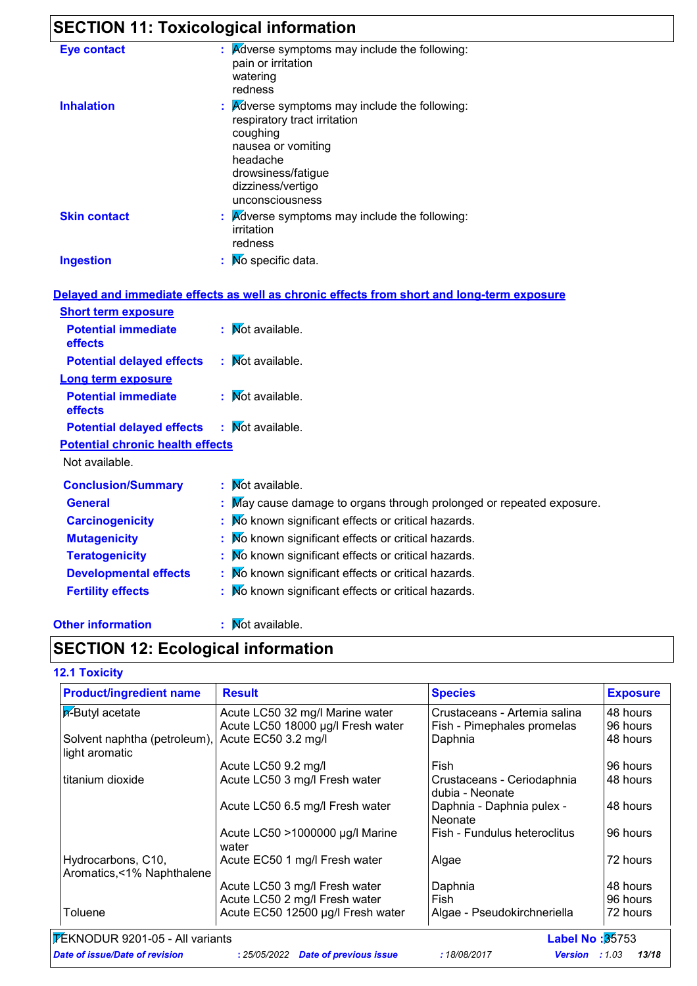# **SECTION 11: Toxicological information**

| <b>Eye contact</b>  | Adverse symptoms may include the following:<br>pain or irritation<br>watering<br>redness                                                                                                                    |
|---------------------|-------------------------------------------------------------------------------------------------------------------------------------------------------------------------------------------------------------|
| <b>Inhalation</b>   | $\mathbf{R}$ <i>Adverse symptoms may include the following:</i><br>respiratory tract irritation<br>coughing<br>nausea or vomiting<br>headache<br>drowsiness/fatigue<br>dizziness/vertigo<br>unconsciousness |
| <b>Skin contact</b> | $\therefore$ Adverse symptoms may include the following:<br>irritation<br>redness                                                                                                                           |
| <b>Ingestion</b>    | $\mathbf{N}$ Mo specific data.                                                                                                                                                                              |

|                                                   | Delayed and immediate effects as well as chronic effects from short and long-term exposure |
|---------------------------------------------------|--------------------------------------------------------------------------------------------|
| <b>Short term exposure</b>                        |                                                                                            |
| <b>Potential immediate</b><br>effects             | $\mathbf{N}$ Mot available.                                                                |
| <b>Potential delayed effects</b>                  | : Mot available.                                                                           |
| <b>Long term exposure</b>                         |                                                                                            |
| <b>Potential immediate</b><br>effects             | : Mot available.                                                                           |
| <b>Potential delayed effects : Mot available.</b> |                                                                                            |
| <b>Potential chronic health effects</b>           |                                                                                            |
| Not available.                                    |                                                                                            |
| <b>Conclusion/Summary</b>                         | : Mot available.                                                                           |
| <b>General</b>                                    | : May cause damage to organs through prolonged or repeated exposure.                       |
| <b>Carcinogenicity</b>                            | : Mo known significant effects or critical hazards.                                        |
| <b>Mutagenicity</b>                               | : Mo known significant effects or critical hazards.                                        |
| <b>Teratogenicity</b>                             | : Mo known significant effects or critical hazards.                                        |
| <b>Developmental effects</b>                      | : Mo known significant effects or critical hazards.                                        |
| <b>Fertility effects</b>                          | : No known significant effects or critical hazards.                                        |

#### **Other information :**

: Mot available.

### **SECTION 12: Ecological information**

#### **12.1 Toxicity**

| <b>Product/ingredient name</b>                  | <b>Result</b>                            | <b>Species</b>                                | <b>Exposure</b> |
|-------------------------------------------------|------------------------------------------|-----------------------------------------------|-----------------|
| <b>p</b> -Butyl acetate                         | Acute LC50 32 mg/l Marine water          | Crustaceans - Artemia salina                  | 48 hours        |
|                                                 | Acute LC50 18000 µg/l Fresh water        | Fish - Pimephales promelas                    | 96 hours        |
| Solvent naphtha (petroleum),<br>light aromatic  | Acute EC50 3.2 mg/l                      | Daphnia                                       | 48 hours        |
|                                                 | Acute LC50 9.2 mg/l                      | Fish                                          | 96 hours        |
| titanium dioxide                                | Acute LC50 3 mg/l Fresh water            | Crustaceans - Ceriodaphnia<br>dubia - Neonate | 48 hours        |
|                                                 | Acute LC50 6.5 mg/l Fresh water          | Daphnia - Daphnia pulex -<br>Neonate          | 48 hours        |
|                                                 | Acute LC50 >1000000 µg/l Marine<br>water | Fish - Fundulus heteroclitus                  | 96 hours        |
| Hydrocarbons, C10,<br>Aromatics,<1% Naphthalene | Acute EC50 1 mg/l Fresh water            | Algae                                         | 72 hours        |
|                                                 | Acute LC50 3 mg/l Fresh water            | Daphnia                                       | 48 hours        |
|                                                 | Acute LC50 2 mg/l Fresh water            | Fish                                          | 96 hours        |
| Toluene                                         | Acute EC50 12500 µg/l Fresh water        | Algae - Pseudokirchneriella                   | 72 hours        |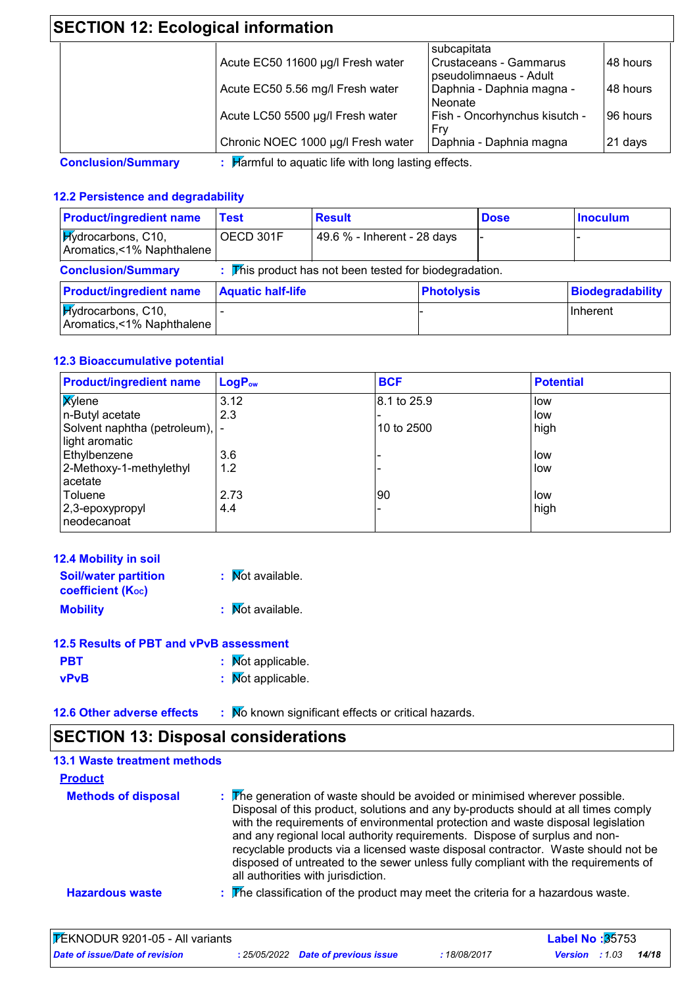## **SECTION 12: Ecological information**

|                                    | subcapitata                                      |          |
|------------------------------------|--------------------------------------------------|----------|
| Acute EC50 11600 µg/l Fresh water  | Crustaceans - Gammarus<br>pseudolimnaeus - Adult | 48 hours |
| Acute EC50 5.56 mg/l Fresh water   | Daphnia - Daphnia magna -<br>Neonate             | 48 hours |
| Acute LC50 5500 µg/l Fresh water   | Fish - Oncorhynchus kisutch -<br>Frv             | 96 hours |
| Chronic NOEC 1000 µg/l Fresh water | Daphnia - Daphnia magna                          | 21 days  |

### **12.2 Persistence and degradability**

| <b>Product/ingredient name</b>                          | <b>Test</b>              | <b>Result</b>                                                                                   |                   | <b>Dose</b> | <b>Inoculum</b>  |
|---------------------------------------------------------|--------------------------|-------------------------------------------------------------------------------------------------|-------------------|-------------|------------------|
| <b>Hydrocarbons</b> , C10,<br>Aromatics,<1% Naphthalene | OECD 301F                | 49.6 % - Inherent - 28 days                                                                     |                   |             |                  |
| <b>Conclusion/Summary</b>                               |                          | $\mathbb F$ $\mathbb F$ $\mathbb F$ $\mathbb F$ product has not been tested for biodegradation. |                   |             |                  |
| <b>Product/ingredient name</b>                          | <b>Aquatic half-life</b> |                                                                                                 | <b>Photolysis</b> |             | Biodegradability |
| <b>Hydrocarbons</b> , C10,<br>Aromatics,<1% Naphthalene |                          |                                                                                                 |                   |             | Inherent         |

### **12.3 Bioaccumulative potential**

| <b>Product/ingredient name</b>  | LogP <sub>ow</sub> | <b>BCF</b>  | <b>Potential</b> |
|---------------------------------|--------------------|-------------|------------------|
| <b>X</b> ylene                  | 3.12               | 8.1 to 25.9 | low              |
| n-Butyl acetate                 | 2.3                |             | low              |
| Solvent naphtha (petroleum),  - |                    | 10 to 2500  | high             |
| light aromatic                  |                    |             |                  |
| Ethylbenzene                    | 3.6                |             | low              |
| 2-Methoxy-1-methylethyl         | 1.2                |             | low              |
| acetate                         |                    |             |                  |
| Toluene                         | 2.73               | 90          | low              |
| 2,3-epoxypropyl                 | 4.4                |             | high             |
| neodecanoat                     |                    |             |                  |

| 12.4 Mobility in soil                                   |                  |
|---------------------------------------------------------|------------------|
| <b>Soil/water partition</b><br><b>coefficient (Koc)</b> | : Mot available. |
| <b>Mobility</b>                                         | : Mot available. |
| 12.5 Results of PRT and vPvR assessment                 |                  |

| <u>IZJU INGOUILO UI II DII GIIU VII VD GOOGOOIIIGIIL</u> |                   |
|----------------------------------------------------------|-------------------|
| <b>PBT</b>                                               | : Mot applicable. |
| <b>vPvB</b>                                              | : Mot applicable. |

**12.6 Other adverse effects** : Mo known significant effects or critical hazards.

# **SECTION 13: Disposal considerations**

| <b>13.1 Waste treatment methods</b> |                                                                                                                                                                                                                                                                                                                                                                                                                                                                                                                                                      |
|-------------------------------------|------------------------------------------------------------------------------------------------------------------------------------------------------------------------------------------------------------------------------------------------------------------------------------------------------------------------------------------------------------------------------------------------------------------------------------------------------------------------------------------------------------------------------------------------------|
| <b>Product</b>                      |                                                                                                                                                                                                                                                                                                                                                                                                                                                                                                                                                      |
| <b>Methods of disposal</b>          | : The generation of waste should be avoided or minimised wherever possible.<br>Disposal of this product, solutions and any by-products should at all times comply<br>with the requirements of environmental protection and waste disposal legislation<br>and any regional local authority requirements. Dispose of surplus and non-<br>recyclable products via a licensed waste disposal contractor. Waste should not be<br>disposed of untreated to the sewer unless fully compliant with the requirements of<br>all authorities with jurisdiction. |
| <b>Hazardous waste</b>              | $\therefore$ The classification of the product may meet the criteria for a hazardous waste.                                                                                                                                                                                                                                                                                                                                                                                                                                                          |

| <b>FEKNODUR 9201-05 - All variants</b> |  |                                     |            | <b>Label No:35753</b> |  |       |  |
|----------------------------------------|--|-------------------------------------|------------|-----------------------|--|-------|--|
| Date of issue/Date of revision         |  | : 25/05/2022 Date of previous issue | 18/08/2017 | <b>Version</b> : 1.03 |  | 14/18 |  |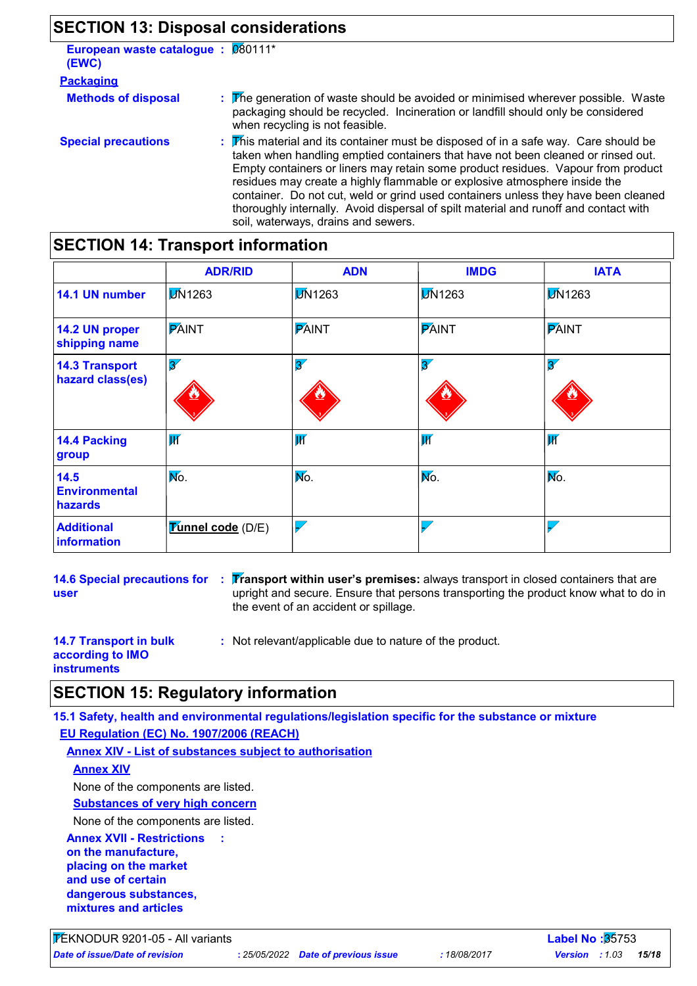### **SECTION 13: Disposal considerations**

**European waste catalogue :** 080111\* **(EWC)**

| .                          |                                                                                                                                                                                                                                                                                                                                                                                                                                                                                                                                                               |
|----------------------------|---------------------------------------------------------------------------------------------------------------------------------------------------------------------------------------------------------------------------------------------------------------------------------------------------------------------------------------------------------------------------------------------------------------------------------------------------------------------------------------------------------------------------------------------------------------|
| <b>Packaging</b>           |                                                                                                                                                                                                                                                                                                                                                                                                                                                                                                                                                               |
| <b>Methods of disposal</b> | : The generation of waste should be avoided or minimised wherever possible. Waste<br>packaging should be recycled. Incineration or landfill should only be considered<br>when recycling is not feasible.                                                                                                                                                                                                                                                                                                                                                      |
| <b>Special precautions</b> | : This material and its container must be disposed of in a safe way. Care should be<br>taken when handling emptied containers that have not been cleaned or rinsed out.<br>Empty containers or liners may retain some product residues. Vapour from product<br>residues may create a highly flammable or explosive atmosphere inside the<br>container. Do not cut, weld or grind used containers unless they have been cleaned<br>thoroughly internally. Avoid dispersal of spilt material and runoff and contact with<br>soil, waterways, drains and sewers. |

### **SECTION 14: Transport information**

|                                           | <b>ADR/RID</b>           | <b>ADN</b>               | <b>IMDG</b>              | <b>IATA</b>              |
|-------------------------------------------|--------------------------|--------------------------|--------------------------|--------------------------|
| 14.1 UN number                            | <b>DN1263</b>            | <b>DN1263</b>            | <b>DN1263</b>            | <b>D</b> N1263           |
| 14.2 UN proper<br>shipping name           | <b>PAINT</b>             | <b>PAINT</b>             | <b>PAINT</b>             | <b>PAINT</b>             |
| <b>14.3 Transport</b><br>hazard class(es) | $\overline{\mathscr{Z}}$ | $\overline{\mathbf{3}'}$ | $\overline{\mathcal{X}}$ | $\overline{\mathbf{3}'}$ |
| 14.4 Packing<br>group                     | $\overline{\mathsf{W}}$  | $ \overline{W} $         | $\overline{\mathbf{W}}$  | $\overline{\mathbf{W}}$  |
| 14.5<br><b>Environmental</b><br>hazards   | Mo.                      | Mo.                      | No.                      | Mo.                      |
| <b>Additional</b><br>information          | <b>Tunnel code</b> (D/E) | $\overline{\checkmark}$  |                          |                          |

**14.6 Special precautions for user**

**Transport within user's premises:** always transport in closed containers that are **:** upright and secure. Ensure that persons transporting the product know what to do in the event of an accident or spillage.

**14.7 Transport in bulk according to IMO instruments**

**:** Not relevant/applicable due to nature of the product.

### **SECTION 15: Regulatory information**

**15.1 Safety, health and environmental regulations/legislation specific for the substance or mixture EU Regulation (EC) No. 1907/2006 (REACH)**

**Annex XIV - List of substances subject to authorisation**

**:**

#### **Annex XIV**

None of the components are listed.

**Substances of very high concern**

None of the components are listed.

**Annex XVII - Restrictions on the manufacture, placing on the market and use of certain dangerous substances, mixtures and articles**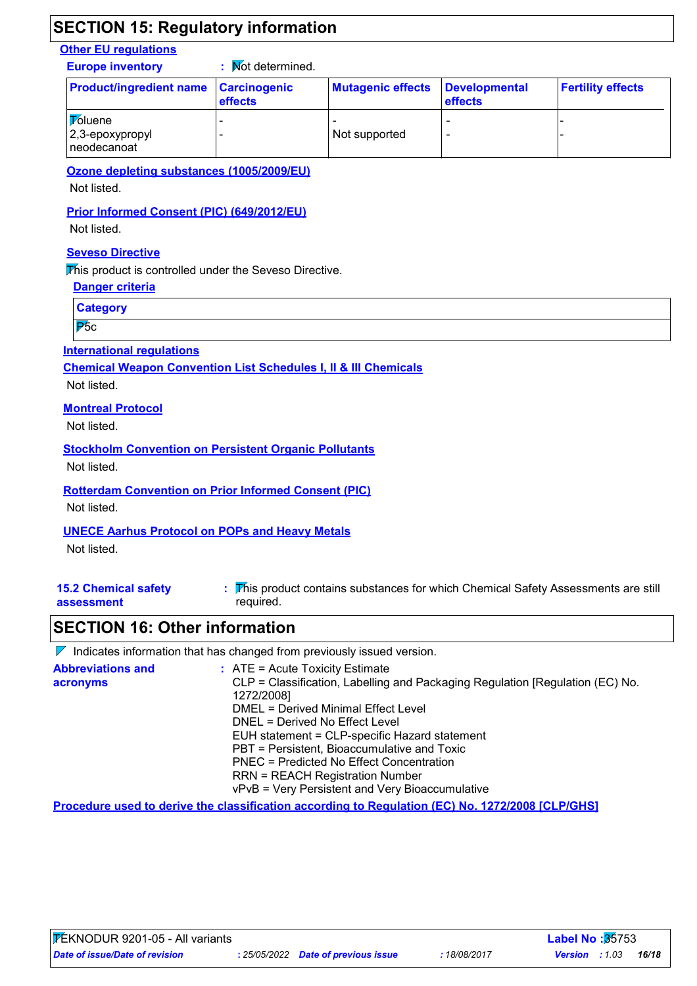### **SECTION 15: Regulatory information**

### **Other EU regulations**

**Europe inventory :** Not determined.

| <b>Product/ingredient name Carcinogenic</b>      | <b>effects</b> | <b>Mutagenic effects</b> | Developmental<br><b>effects</b> | <b>Fertility effects</b> |
|--------------------------------------------------|----------------|--------------------------|---------------------------------|--------------------------|
| <b>Toluene</b><br>2,3-epoxypropyl<br>neodecanoat |                | Not supported            |                                 |                          |

**Ozone depleting substances (1005/2009/EU)**

Not listed.

#### **Prior Informed Consent (PIC) (649/2012/EU)**

Not listed.

### **Seveso Directive**

This product is controlled under the Seveso Directive.

**Danger criteria**

**Category**

P<sub>5c</sub>

#### **International regulations**

**Chemical Weapon Convention List Schedules I, II & III Chemicals**

Not listed.

### **Montreal Protocol**

Not listed.

#### **Stockholm Convention on Persistent Organic Pollutants**

Not listed.

#### **Rotterdam Convention on Prior Informed Consent (PIC)**

Not listed.

#### **UNECE Aarhus Protocol on POPs and Heavy Metals**

Not listed.

| <b>15.2 Chemical safety</b> | : This product contains substances for which Chemical Safety Assessments are still |
|-----------------------------|------------------------------------------------------------------------------------|
| assessment                  | required.                                                                          |

### **SECTION 16: Other information**

|                                      | $\mathcal V$ Indicates information that has changed from previously issued version.                                                                                                                                                                                                                                                                                                                                                                         |
|--------------------------------------|-------------------------------------------------------------------------------------------------------------------------------------------------------------------------------------------------------------------------------------------------------------------------------------------------------------------------------------------------------------------------------------------------------------------------------------------------------------|
| <b>Abbreviations and</b><br>acronyms | $\therefore$ ATE = Acute Toxicity Estimate<br>CLP = Classification, Labelling and Packaging Regulation [Regulation (EC) No.<br>1272/2008]<br>DMEL = Derived Minimal Effect Level<br>DNEL = Derived No Effect Level<br>EUH statement = CLP-specific Hazard statement<br>PBT = Persistent, Bioaccumulative and Toxic<br>PNEC = Predicted No Effect Concentration<br><b>RRN = REACH Registration Number</b><br>vPvB = Very Persistent and Very Bioaccumulative |
|                                      |                                                                                                                                                                                                                                                                                                                                                                                                                                                             |

**Procedure used to derive the classification according to Regulation (EC) No. 1272/2008 [CLP/GHS]**